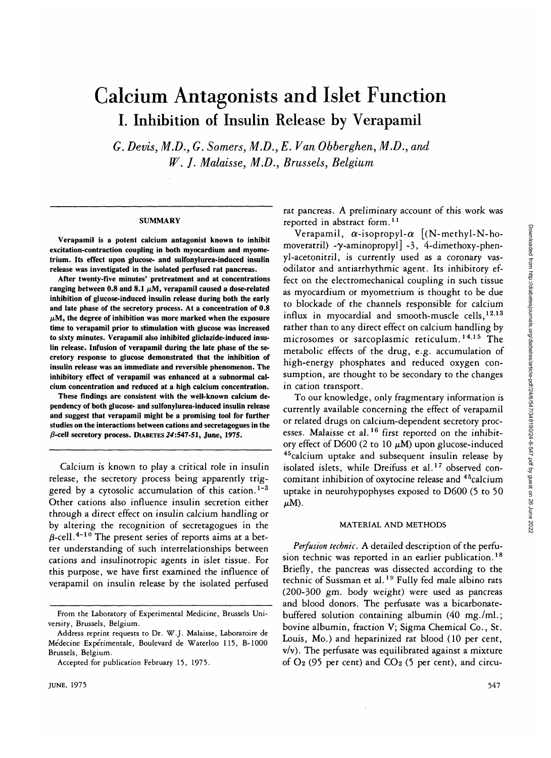# Calcium Antagonists and Islet Function I. Inhibition of Insulin Release by Verapamil

*G. Devis, M.D., G. Somers, M.D., E. Van Obberghen, M.D., and W. J. Malaisse, M.D., Brussels, Belgium*

### **SUMMARY**

**Verapamil is a potent calcium antagonist known to inhibit excitation-contraction coupling in both myocardium and myometrium. Its effect upon glucose- and sulfonylurea-induced insulin release was investigated in the isolated perfused rat pancreas.**

**After twenty-five minutes' pretreatment and at concentrations ranging between 0.8 and 8.1**  $\mu$ **M, verapamil caused a dose-related inhibition of glucose-induced insulin release during both the early and late phase of the secretory process. At a concentration of 0.8**  $\mu$ M, the degree of inhibition was more marked when the exposure **time to verapamil prior to stimulation with glucose was increased to sixty minutes. Verapamil also inhibited gliclazide-induced insulin release. Infusion of verapamil during the late phase of the secretory response to glucose demonstrated that the inhibition of insulin release was an immediate and reversible phenomenon. The inhibitory effect of verapamil was enhanced at a subnormal calcium concentration and reduced at a high calcium concentration.**

**These findings are consistent with the well-known calcium dependency of both glucose- and sulfonylurea-induced insulin release and suggest that verapamil might be a promising tool for further studies on the interactions between cations and secretagogues in the j3-cell secretory process. DIABETES24:547-51, June, 1975.**

Calcium is known to play a critical role in insulin release, the secretory process being apparently triggered by a cytosolic accumulation of this cation.<sup>1-3</sup> Other cations also influence insulin secretion either through a direct effect on insulin calcium handling or by altering the recognition of secretagogues in the  $\beta$ -cell.<sup>4-10</sup> The present series of reports aims at a better understanding of such interrelationships between cations and insulinotropic agents in islet tissue. For this purpose, we have first examined the influence of verapamil on insulin release by the isolated perfused

rat pancreas. A preliminary account of this work was reported in abstract form.<sup>11</sup>

Verapamil,  $\alpha$ -isopropyl- $\alpha$  [(N-methyl-N-homoveratril) - $\gamma$ -aminopropyl  $\lceil -3, 4 \rceil$ -dimethoxy-phenyl-acetonitril, is currently used as a coronary vasodilator and antiarrhythmic agent. Its inhibitory effect on the electromechanical coupling in such tissue as myocardium or myometrium is thought to be due to blockade of the channels responsible for calcium influx in myocardial and smooth-muscle cells,  $12.13$ rather than to any direct effect on calcium handling by microsomes or sarcoplasmic reticulum.<sup>14,15</sup> The metabolic effects of the drug, e.g. accumulation of high-energy phosphates and reduced oxygen consumption, are thought to be secondary to the changes in cation transport.

To our knowledge, only fragmentary information is currently available concerning the effect of verapamil or related drugs on calcium-dependent secretory processes. Malaisse et al.<sup>16</sup> first reported on the inhibitory effect of  $D600$  (2 to 10  $\mu$ M) upon glucose-induced <sup>45</sup>calcium uptake and subsequent insulin release by isolated islets, while Dreifuss et al.<sup>17</sup> observed concomitant inhibition of oxytocine release and 45calcium uptake in neurohypophyses exposed to D600 (5 to 50  $\mu$ M).

### MATERIAL AND METHODS

*Perfusion technic.* A detailed description of the perfusion technic was reported in an earlier publication.<sup>18</sup> Briefly, the pancreas was dissected according to the technic of Sussman et al.<sup>19</sup> Fully fed male albino rats (200-300 gm. body weight) were used as pancreas and blood donors. The perfusate was a bicarbonatebuffered solution containing albumin (40 mg./ml.; bovine albumin, fraction V; Sigma Chemical Co., St. Louis, Mo.) and heparinized rat blood (10 per cent,  $v/v$ ). The perfusate was equilibrated against a mixture of  $O_2$  (95 per cent) and  $CO_2$  (5 per cent), and circu-

**From the Laboratory of Experimental Medicine, Brussels University, Brussels, Belgium.**

**Address reprint requests to Dr. W.J. Malaisse, Laboratoire de Medecine Experimentale, Boulevard de Waterloo 115, B-1000 Brussels, Belgium.**

**Accepted for publication February 15, 1975.**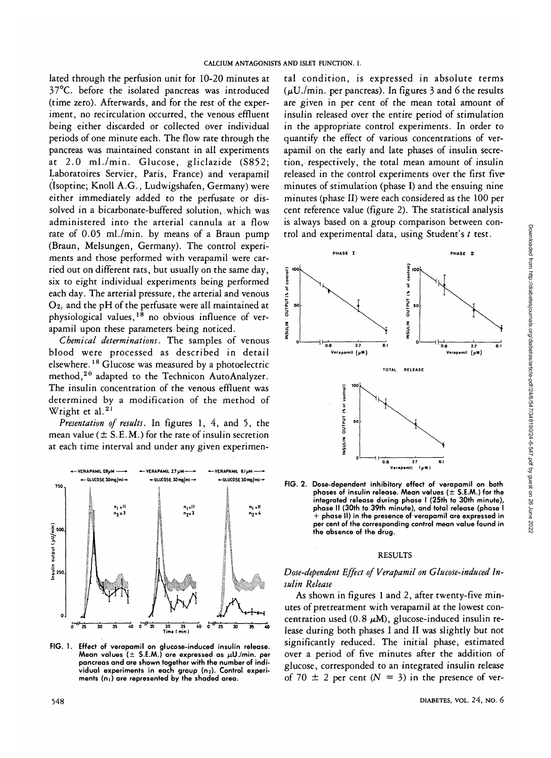lated through the perfusion unit for 10-20 minutes at 37°C. before the isolated pancreas was introduced (time zero). Afterwards, and for the rest of the experiment, no recirculation occurred, the venous effluent being either discarded or collected over individual periods of one minute each. The flow rate through the pancreas was maintained constant in all experiments at 2.0 ml./min. Glucose, gliclazide (S852; Laboratoires Servier, Paris, France) and verapamil (Isoptine; Knoll A.G., Ludwigshafen, Germany) were either immediately added to the perfusate or dissolved in a bicarbonate-buffered solution, which was administered into the arterial cannula at a flow rate of 0.05 ml./min. by means of a Braun pump (Braun, Melsungen, Germany). The control experiments and those performed with verapamil were carried out on different rats, but usually on the same day, six to eight individual experiments being performed each day. The arterial pressure, the arterial and venous O2, and the pH of the perfusate were all maintained at  $\sigma_z$  and the prior the periusate were an maintained at  $\sigma_z$  physiological values,  $18$  no obvious influence of verapamil upon these parameters being noticed.

*Chemical determinations*. The samples of venous blood were processed as described in detail elsewhere.18 Glucose was measured by a photoelectric method,<sup>20</sup> adapted to the Technicon AutoAnalyzer. The insulin concentration of the venous effluent was determined by a modification of the method of Wright et al.<sup>21</sup>

*Presentation of results.* In figures 1, 4, and 5, the mean value ( $\pm$  S.E.M.) for the rate of insulin secretion at each time interval and under any given experimen-



FIG. 1. **Effect of verapamil on glucose-induced insulin release.** Mean values  $(\pm 5.$  **E.M.**) are expressed as  $\mu$ U./min. per **pancreas and are shown together with the number of indi-vidual experiments in each group (m). Control experiments (m) are represented by the shaded area.**

tal condition, is expressed in absolute terms ( $\mu$ U./min. per pancreas). In figures 3 and 6 the results are given in per cent of the mean total amount of insulin released over the entire period of stimulation in the appropriate control experiments. In order to quantify the effect of various concentrations of verapamil on the early and late phases of insulin secretion, respectively, the total mean amount of insulin released in the control experiments over the first five minutes of stimulation (phase I) and the ensuing nine minutes (phase II) were each considered as the 100 per cent reference value (figure 2). The statistical analysis is always based on a group comparison between control and experimental data, using Student's *t* test.



**FIG. 2. Dose-dependent inhibitory effect of verapamil on both phases of insulin release. Mean values ( ± S.E.M.) for the integrated release during phase I (25th to 30th minute), phase II (30th to 39th minute), and total release (phase I + phase II) in the presence of verapamil are expressed in per cent of the corresponding control mean value found in the absence of the drug.**

#### RESULTS

### *Dose-dependent Effect of Verapamil on Glucose-induced Insulin Release*

As shown in figures 1 and 2, after twenty-five minutes of pretreatment with verapamil at the lowest concentration used (0.8  $\mu$ M), glucose-induced insulin release during both phases I and II was slightly but not significantly reduced. The initial phase, estimated over a period of five minutes after the addition of glucose, corresponded to an integrated insulin release of 70  $\pm$  2 per cent ( $N = 3$ ) in the presence of ver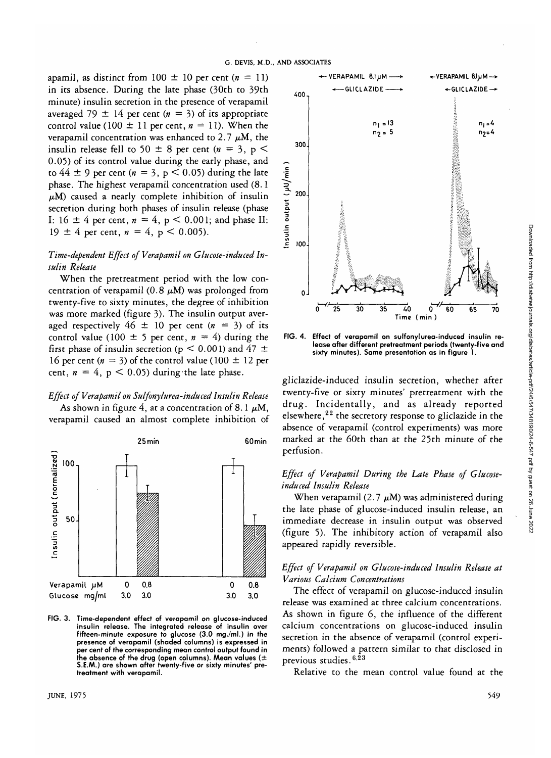apamil, as distinct from 100  $\pm$  10 per cent ( $n = 11$ ) in its absence. During the late phase (30th to 39th minute) insulin secretion in the presence of verapamil averaged 79  $\pm$  14 per cent ( $n = 3$ ) of its appropriate control value (100  $\pm$  11 per cent,  $n = 11$ ). When the verapamil concentration was enhanced to 2.7  $\mu$ M, the insulin release fell to 50  $\pm$  8 per cent ( $n = 3$ ,  $p$  < 0.05) of its control value during the early phase, and to  $44 \pm 9$  per cent ( $n = 3$ ,  $p < 0.05$ ) during the late phase. The highest verapamil concentration used (8.1  $\mu$ M) caused a nearly complete inhibition of insulin secretion during both phases of insulin release (phase I:  $16 \pm 4$  per cent,  $n = 4$ ,  $p < 0.001$ ; and phase II: 19  $\pm$  4 per cent,  $n = 4$ ,  $p < 0.005$ ).

# *Time-dependent Effect of Verapamil on Glucose-induced Insulin Release*

When the pretreatment period with the low concentration of verapamil (0.8  $\mu$ M) was prolonged from twenty-five to sixty minutes, the degree of inhibition was more marked (figure 3). The insulin output averaged respectively  $46 \pm 10$  per cent  $(n = 3)$  of its control value (100  $\pm$  5 per cent,  $n = 4$ ) during the first phase of insulin secretion ( $p < 0.001$ ) and 47  $\pm$ 16 per cent  $(n = 3)$  of the control value (100  $\pm$  12 per cent,  $n = 4$ ,  $p < 0.05$ ) during the late phase.

# *Effect of Verapamil on Sulfonylurea-induced Insulin Release*

As shown in figure 4, at a concentration of 8.1  $\mu$ M, verapamil caused an almost complete inhibition of



**FIG. 3. Time-dependent effect of verapamil on glucose-induced insulin release. The integrated release of insulin over fifteen-minute exposure to glucose (3.0 mg./ml.) in the presence of verapamil (shaded columns) is expressed in per cent of the corresponding mean control output found in the absence of the drug (open columns). Mean values (± S.E.AA.) are shown after twenty-five or sixty minutes' pretreatment with verapamil.**



**FIG. 4. Effect of verapamil on sulfonylurea-induced insulin release after different pretreatment periods (twenty-five and sixty minutes). Same presentation as in figure 1.**

gliclazide-induced insulin secretion, whether after twenty-five or sixty minutes' pretreatment with the drug. Incidentally, and as already reported elsewhere,<sup>22</sup> the secretory response to gliclazide in the absence of verapamil (control experiments) was more marked at the 60th than at the 25th minute of the perfusion.

# *Effect of Verapamil During the Late Phase of Glucoseinduced Insulin Release*

When verapamil (2.7  $\mu$ M) was administered during the late phase of glucose-induced insulin release, an immediate decrease in insulin output was observed (figure 5). The inhibitory action of verapamil also appeared rapidly reversible.

## *Effect of Verapamil on Glucose-induced Insulin Release at Various Calcium Concentrations*

The effect of verapamil on glucose-induced insulin release was examined at three calcium concentrations. As shown in figure 6, the influence of the different calcium concentrations on glucose-induced insulin secretion in the absence of verapamil (control experiments) followed a pattern similar to that disclosed in previous studies.<sup>623</sup>

Relative to the mean control value found at the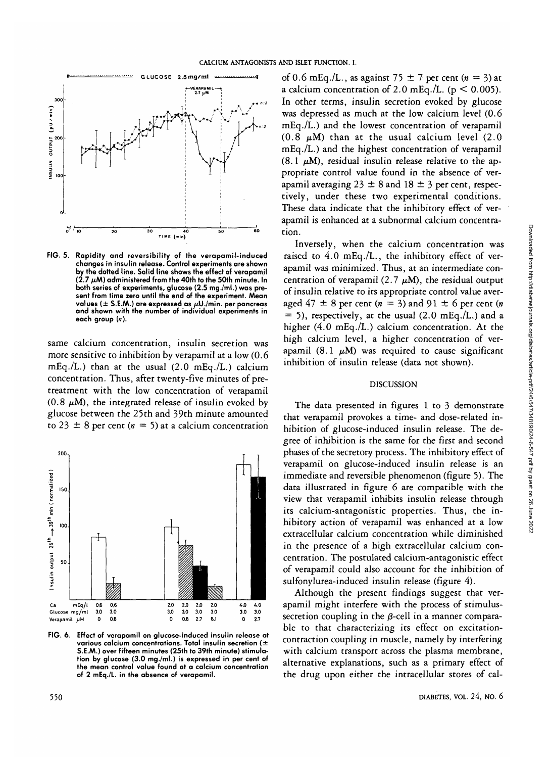

**FIG. 5. Rapidity and reversibility of the verapamil-induced changes in insulin release. Control experiments are shown by the dotted line. Solid line shows the effect of verapamil (2.7 /U.M) administered from the 40th to the 50th minute. In both series of experiments, glucose (2.5 mg./ml.) was present from time zero until the end of the experiment. Mean values ( ± S.E.M.) are expressed as /x(J./min. per pancreas and shown with the number of individual experiments in each group (»).**

same calcium concentration, insulin secretion was more sensitive to inhibition by verapamil at a low (0.6 mEq./L.) than at the usual (2.0 mEq./L.) calcium concentration. Thus, after twenty-five minutes of pretreatment with the low concentration of verapamil  $(0.8 \mu M)$ , the integrated release of insulin evoked by glucose between the 25th and 39th minute amounted to 23  $\pm$  8 per cent ( $n = 5$ ) at a calcium concentration



**FIG. 6. Effect of verapamil on glucose-induced insulin release at various calcium concentrations. Total insulin secretion ( ± S.E.M.) over fifteen minutes (25th to 39th minute) stimulation by glucose (3.0 mg./ml.) is expressed in per cent of the mean control value found at a calcium concentration of 2 mEq./L. in the absence of verapamil.**

of 0.6 mEq./L., as against 75  $\pm$  7 per cent (n = 3) at a calcium concentration of 2.0 mEq./L. ( $p < 0.005$ ). In other terms, insulin secretion evoked by glucose was depressed as much at the low calcium level (0.6 mEq./L.) and the lowest concentration of verapamil  $(0.8 \mu M)$  than at the usual calcium level  $(2.0 \mu M)$ mEq./L.) and the highest concentration of verapamil (8.1  $\mu$ M), residual insulin release relative to the appropriate control value found in the absence of verapamil averaging 23  $\pm$  8 and 18  $\pm$  3 per cent, respectively, under these two experimental conditions. These data indicate that the inhibitory effect of verapamil is enhanced at a subnormal calcium concentration.

Inversely, when the calcium concentration was raised to 4.0 mEq./L., the inhibitory effect of verapamil was minimized. Thus, at an intermediate concentration of verapamil (2.7  $\mu$ M), the residual output of insulin relative to its appropriate control value averaged  $47 \pm 8$  per cent ( $n = 3$ ) and  $91 \pm 6$  per cent ( $n$  $= 5$ ), respectively, at the usual (2.0 mEq./L.) and a higher (4.0 mEq./L.) calcium concentration. At the high calcium level, a higher concentration of verapamil  $(8.1 \mu M)$  was required to cause significant inhibition of insulin release (data not shown).

### DISCUSSION

The data presented in figures 1 to 3 demonstrate that verapamil provokes a time- and dose-related inhibition of glucose-induced insulin release. The degree of inhibition is the same for the first and second phases of the secretory process. The inhibitory effect of verapamil on glucose-induced insulin release is an immediate and reversible phenomenon (figure 5). The data illustrated in figure 6 are compatible with the view that verapamil inhibits insulin release through its calcium-antagonistic properties. Thus, the inhibitory action of verapamil was enhanced at a low extracellular calcium concentration while diminished in the presence of a high extracellular calcium concentration. The postulated calcium-antagonistic effect of verapamil could also account for the inhibition of sulfonylurea-induced insulin release (figure 4).

Although the present findings suggest that verapamil might interfere with the process of stimulussecretion coupling in the  $\beta$ -cell in a manner comparable to that characterizing its effect on excitationcontraction coupling in muscle, namely by interfering with calcium transport across the plasma membrane, alternative explanations, such as a primary effect of the drug upon either the intracellular stores of cal-